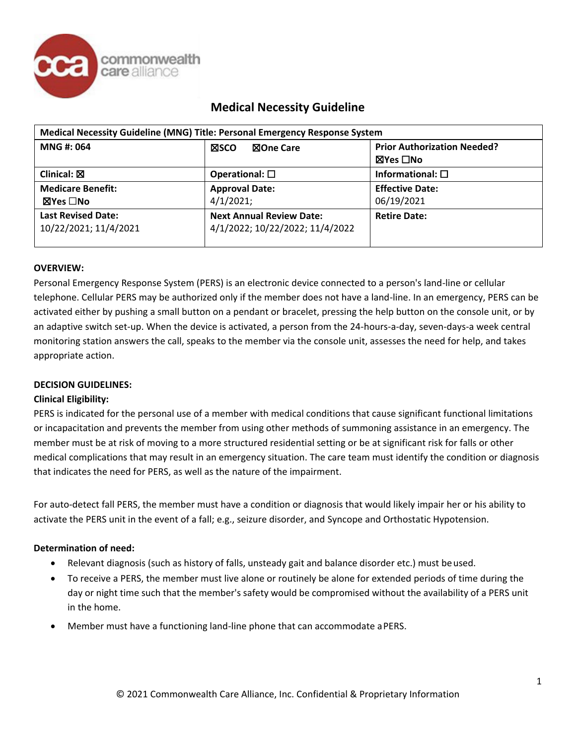

| Medical Necessity Guideline (MNG) Title: Personal Emergency Response System |                                                                    |                                    |  |  |
|-----------------------------------------------------------------------------|--------------------------------------------------------------------|------------------------------------|--|--|
| <b>MNG#: 064</b>                                                            | <b>XSCO</b><br>⊠One Care                                           | <b>Prior Authorization Needed?</b> |  |  |
|                                                                             |                                                                    | ⊠Yes □No                           |  |  |
| Clinical: $\boxtimes$                                                       | Operational: $\square$                                             | Informational: $\square$           |  |  |
| <b>Medicare Benefit:</b>                                                    | <b>Approval Date:</b>                                              | <b>Effective Date:</b>             |  |  |
| ⊠Yes □No                                                                    | 4/1/2021;                                                          | 06/19/2021                         |  |  |
| <b>Last Revised Date:</b><br>10/22/2021; 11/4/2021                          | <b>Next Annual Review Date:</b><br>4/1/2022; 10/22/2022; 11/4/2022 | <b>Retire Date:</b>                |  |  |

### **OVERVIEW:**

Personal Emergency Response System (PERS) is an electronic device connected to a person's land-line or cellular telephone. Cellular PERS may be authorized only if the member does not have a land-line. In an emergency, PERS can be activated either by pushing a small button on a pendant or bracelet, pressing the help button on the console unit, or by an adaptive switch set-up. When the device is activated, a person from the 24-hours-a-day, seven-days-a week central monitoring station answers the call, speaks to the member via the console unit, assesses the need for help, and takes appropriate action.

## **DECISION GUIDELINES:**

### **Clinical Eligibility:**

PERS is indicated for the personal use of a member with medical conditions that cause significant functional limitations or incapacitation and prevents the member from using other methods of summoning assistance in an emergency. The member must be at risk of moving to a more structured residential setting or be at significant risk for falls or other medical complications that may result in an emergency situation. The care team must identify the condition or diagnosis that indicates the need for PERS, as well as the nature of the impairment.

For auto-detect fall PERS, the member must have a condition or diagnosis that would likely impair her or his ability to activate the PERS unit in the event of a fall; e.g., seizure disorder, and Syncope and Orthostatic Hypotension.

### **Determination of need:**

- Relevant diagnosis (such as history of falls, unsteady gait and balance disorder etc.) must be used.
- To receive a PERS, the member must live alone or routinely be alone for extended periods of time during the day or night time such that the member's safety would be compromised without the availability of a PERS unit in the home.
- Member must have a functioning land-line phone that can accommodate aPERS.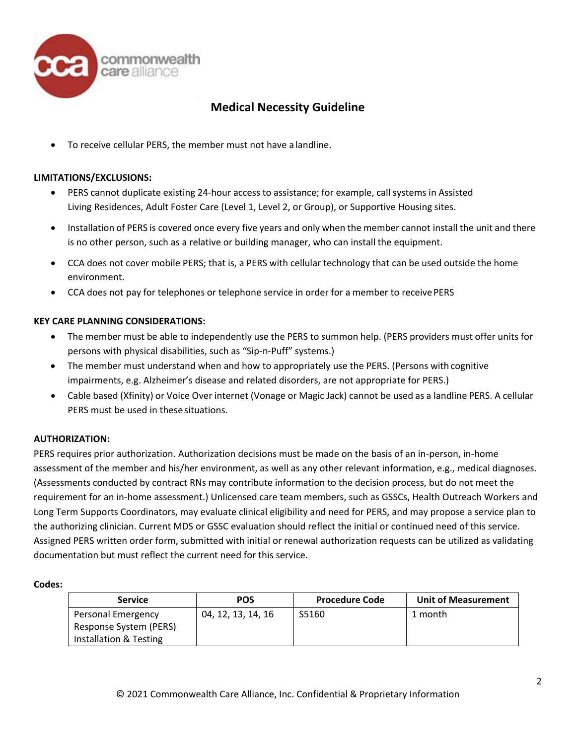

• To receive cellular PERS, the member must not have a landline.

### **LIMITATIONS/EXCLUSIONS:**

- PERS cannot duplicate existing 24-hour access to assistance; for example, call systems in Assisted Living Residences, Adult Foster Care (Level 1, Level 2, or Group), or Supportive Housing sites.
- Installation of PERS is covered once every five years and only when the member cannot install the unit and there is no other person, such as a relative or building manager, who can install the equipment.
- CCA does not cover mobile PERS; that is, a PERS with cellular technology that can be used outside the home environment.
- CCA does not pay for telephones or telephone service in order for a member to receive PERS

### **KEY CARE PLANNING CONSIDERATIONS:**

- The member must be able to independently use the PERS to summon help. (PERS providers must offer units for persons with physical disabilities, such as "Sip-n-Puff" systems.)
- The member must understand when and how to appropriately use the PERS. (Persons with cognitive impairments, e.g. Alzheimer's disease and related disorders, are not appropriate for PERS.)
- Cable based (Xfinity) or Voice Over internet (Vonage or Magic Jack) cannot be used as a landline PERS. A cellular PERS must be used in thesesituations.

### **AUTHORIZATION:**

PERS requires prior authorization. Authorization decisions must be made on the basis of an in-person, in-home assessment of the member and his/her environment, as well as any other relevant information, e.g., medical diagnoses. (Assessments conducted by contract RNs may contribute information to the decision process, but do not meet the requirement for an in-home assessment.) Unlicensed care team members, such as GSSCs, Health Outreach Workers and Long Term Supports Coordinators, may evaluate clinical eligibility and need for PERS, and may propose a service plan to the authorizing clinician. Current MDS or GSSC evaluation should reflect the initial or continued need of this service. Assigned PERS written order form, submitted with initial or renewal authorization requests can be utilized as validating documentation but must reflect the current need for this service.

#### **Codes:**

| <b>Service</b>                                                         | <b>POS</b>         | <b>Procedure Code</b> | <b>Unit of Measurement</b> |
|------------------------------------------------------------------------|--------------------|-----------------------|----------------------------|
| Personal Emergency<br>Response System (PERS)<br>Installation & Testing | 04, 12, 13, 14, 16 | S5160                 | 1 month                    |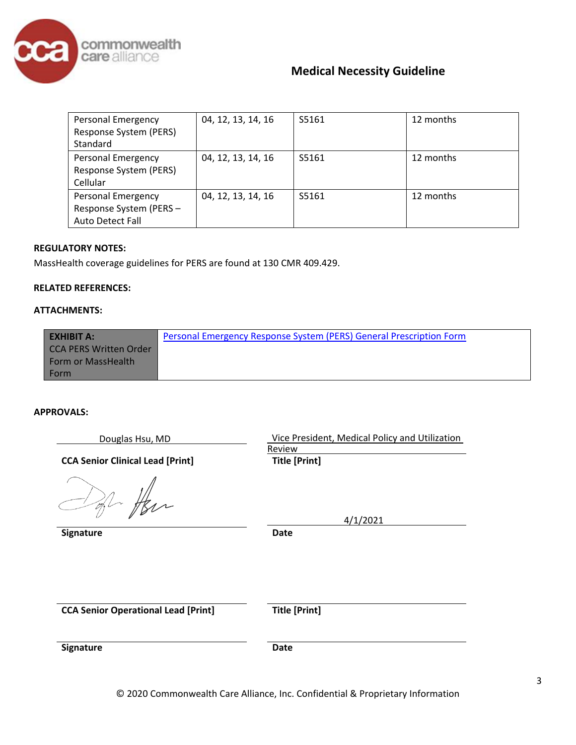

| <b>Personal Emergency</b><br>Response System (PERS)<br>Standard                | 04, 12, 13, 14, 16 | S5161 | 12 months |
|--------------------------------------------------------------------------------|--------------------|-------|-----------|
| <b>Personal Emergency</b><br>Response System (PERS)<br>Cellular                | 04, 12, 13, 14, 16 | S5161 | 12 months |
| <b>Personal Emergency</b><br>Response System (PERS-<br><b>Auto Detect Fall</b> | 04, 12, 13, 14, 16 | S5161 | 12 months |

## **REGULATORY NOTES:**

MassHealth coverage guidelines for PERS are found at 130 CMR 409.429.

#### **RELATED REFERENCES:**

### **ATTACHMENTS:**

| <b>EXHIBIT A:</b>             | Personal Emergency Response System (PERS) General Prescription Form |
|-------------------------------|---------------------------------------------------------------------|
| <b>CCA PERS Written Order</b> |                                                                     |
| Form or MassHealth            |                                                                     |
| Form                          |                                                                     |

#### **APPROVALS:**

| Douglas Hsu, MD                            | Vice President, Medical Policy and Utilization<br>Review |
|--------------------------------------------|----------------------------------------------------------|
| <b>CCA Senior Clinical Lead [Print]</b>    | <b>Title [Print]</b>                                     |
|                                            | 4/1/2021                                                 |
| Signature                                  | Date                                                     |
|                                            |                                                          |
| <b>CCA Senior Operational Lead [Print]</b> | <b>Title [Print]</b>                                     |
| Signature                                  | <b>Date</b>                                              |